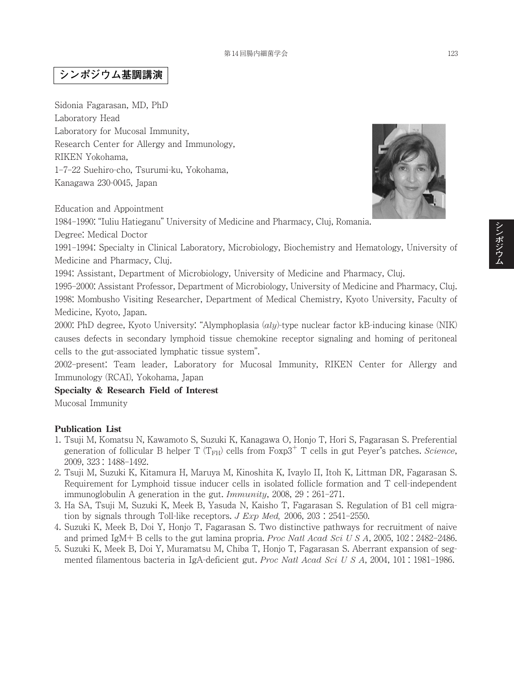## **シンポジウム基調講演**

Sidonia Fagarasan, MD, PhD Laboratory Head Laboratory for Mucosal Immunity, Research Center for Allergy and Immunology, RIKEN Yokohama, 1–7–22 Suehiro-cho, Tsurumi-ku, Yokohama, Kanagawa 230-0045, Japan

Education and Appointment

1984–1990: "Iuliu Hatieganu" University of Medicine and Pharmacy, Cluj, Romania.

Degree: Medical Doctor

1991–1994: Specialty in Clinical Laboratory, Microbiology, Biochemistry and Hematology, University of Medicine and Pharmacy, Cluj.

1994: Assistant, Department of Microbiology, University of Medicine and Pharmacy, Cluj.

1995–2000: Assistant Professor, Department of Microbiology, University of Medicine and Pharmacy, Cluj. 1998: Mombusho Visiting Researcher, Department of Medical Chemistry, Kyoto University, Faculty of Medicine, Kyoto, Japan.

2000: PhD degree, Kyoto University: "Alymphoplasia (*aly*)-type nuclear factor kB-inducing kinase (NIK) causes defects in secondary lymphoid tissue chemokine receptor signaling and homing of peritoneal cells to the gut-associated lymphatic tissue system".

2002–present: Team leader, Laboratory for Mucosal Immunity, RIKEN Center for Allergy and Immunology (RCAI), Yokohama, Japan

**Specialty & Research Field of Interest**

Mucosal Immunity

## **Publication List**

- 1. Tsuji M, Komatsu N, Kawamoto S, Suzuki K, Kanagawa O, Honjo T, Hori S, Fagarasan S. Preferential generation of follicular B helper  $T (T<sub>FH</sub>)$  cells from Foxp3<sup>+</sup> T cells in gut Peyer's patches. *Science*, 2009, 323 : 1488–1492.
- 2. Tsuji M, Suzuki K, Kitamura H, Maruya M, Kinoshita K, Ivaylo II, Itoh K, Littman DR, Fagarasan S. Requirement for Lymphoid tissue inducer cells in isolated follicle formation and T cell-independent immunoglobulin A generation in the gut. *Immunity*, 2008, 29 : 261–271.
- 3. Ha SA, Tsuji M, Suzuki K, Meek B, Yasuda N, Kaisho T, Fagarasan S. Regulation of B1 cell migration by signals through Toll-like receptors. *J Exp Med,* 2006, 203 : 2541–2550.
- 4. Suzuki K, Meek B, Doi Y, Honjo T, Fagarasan S. Two distinctive pathways for recruitment of naive and primed IgM+ B cells to the gut lamina propria. *Proc Natl Acad Sci U S A*, 2005, 102 : 2482–2486.
- 5. Suzuki K, Meek B, Doi Y, Muramatsu M, Chiba T, Honjo T, Fagarasan S. Aberrant expansion of segmented filamentous bacteria in IgA-deficient gut. *Proc Natl Acad Sci U S A*, 2004, 101 : 1981–1986.